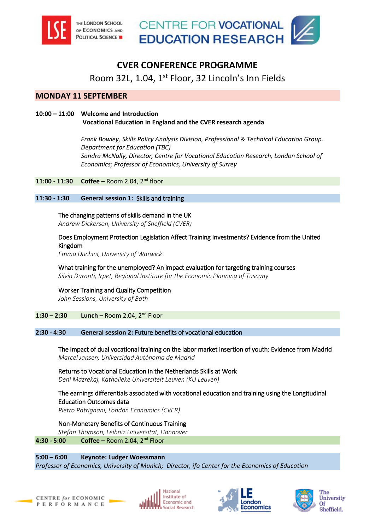



# **CVER CONFERENCE PROGRAMME**

Room 32L, 1.04, 1<sup>st</sup> Floor, 32 Lincoln's Inn Fields

# **MONDAY 11 SEPTEMBER**

# **10:00 – 11:00 Welcome and Introduction Vocational Education in England and the CVER research agenda**

*Frank Bowley, Skills Policy Analysis Division, Professional & Technical Education Group. Department for Education (TBC) Sandra McNally, Director, Centre for Vocational Education Research, London School of Economics; Professor of Economics, University of Surrey*

**11:00 - 11:30 Coffee** – Room 2.04, 2nd floor

**11:30 - 1:30 General session 1:** Skills and training

# [The changing patterns of skills demand in the UK](http://cver.lse.ac.uk/textonly/CVER/events/special/dickerson_cver2017.pdf)

*Andrew Dickerson, University of Sheffield (CVER)*

# Does Employment Protection Legislation Affect Training Investments? Evidence from the United Kingdom

*Emma Duchini, University of Warwick*

[What training for the unemployed? An impact evaluation for targeting training courses](http://cver.lse.ac.uk/textonly/CVER/events/special/duranti_cver2017.pdf)  *Silvia Duranti, Irpet, Regional Institute for the Economic Planning of Tuscany*

[Worker Training and Quality Competition](http://cver.lse.ac.uk/textonly/CVER/events/special/sessions_cver2017.pdf)  *John Sessions, University of Bath*

**1:30 – 2:30 Lunch –** Room 2.04, 2nd Floor

# **2:30 - 4:30 General session 2:** Future benefits of vocational education

[The impact of dual vocational training on the labor market insertion of youth: Evidence from Madrid](http://cver.lse.ac.uk/textonly/CVER/events/special/jansen_cver2017.pdf)  *Marcel Jansen, Universidad Autónoma de Madrid*

Returns to Vocational Education in the Netherlands Skills at Work *Deni Mazrekaj, Katholieke Universiteit Leuven (KU Leuven)*

# [The earnings differentials associated with vocational education and training using the Longitudinal](http://cver.lse.ac.uk/textonly/CVER/events/special/patrignani_cver2017.pdf)  Education Outcomes data

*Pietro Patrignani, London Economics (CVER)*

[Non-Monetary Benefits of Continuous Training](http://cver.lse.ac.uk/textonly/CVER/events/special/thomsen_cver2017.pdf) 

*Stefan Thomson, Leibniz Universitat, Hannover*

**4:30 - 5:00 Coffee –** Room 2.04, 2nd Floor

**5:00 – 6:00 Keynote: Ludger Woessmann** *Professor of Economics, University of Munich; Director, ifo Center for the Economics of Education*